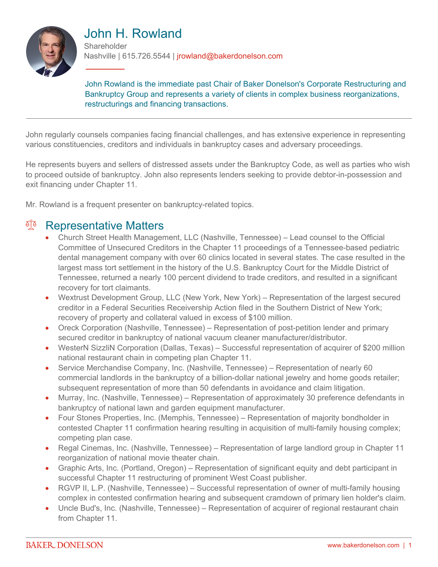

# John H. Rowland

**Shareholder** Nashville | 615.726.5544 | jrowland@bakerdonelson.com

John Rowland is the immediate past Chair of Baker Donelson's Corporate Restructuring and Bankruptcy Group and represents a variety of clients in complex business reorganizations, restructurings and financing transactions.

John regularly counsels companies facing financial challenges, and has extensive experience in representing various constituencies, creditors and individuals in bankruptcy cases and adversary proceedings.

He represents buyers and sellers of distressed assets under the Bankruptcy Code, as well as parties who wish to proceed outside of bankruptcy. John also represents lenders seeking to provide debtor-in-possession and exit financing under Chapter 11.

Mr. Rowland is a frequent presenter on bankruptcy-related topics.

### <sup>en</sup> Representative Matters

- Church Street Health Management, LLC (Nashville, Tennessee) Lead counsel to the Official Committee of Unsecured Creditors in the Chapter 11 proceedings of a Tennessee-based pediatric dental management company with over 60 clinics located in several states. The case resulted in the largest mass tort settlement in the history of the U.S. Bankruptcy Court for the Middle District of Tennessee, returned a nearly 100 percent dividend to trade creditors, and resulted in a significant recovery for tort claimants.
- Wextrust Development Group, LLC (New York, New York) Representation of the largest secured creditor in a Federal Securities Receivership Action filed in the Southern District of New York; recovery of property and collateral valued in excess of \$100 million.
- Oreck Corporation (Nashville, Tennessee) Representation of post-petition lender and primary secured creditor in bankruptcy of national vacuum cleaner manufacturer/distributor.
- WesterN SizzliN Corporation (Dallas, Texas) Successful representation of acquirer of \$200 million national restaurant chain in competing plan Chapter 11.
- Service Merchandise Company, Inc. (Nashville, Tennessee) Representation of nearly 60 commercial landlords in the bankruptcy of a billion-dollar national jewelry and home goods retailer; subsequent representation of more than 50 defendants in avoidance and claim litigation.
- Murray, Inc. (Nashville, Tennessee) Representation of approximately 30 preference defendants in bankruptcy of national lawn and garden equipment manufacturer.
- Four Stones Properties, Inc. (Memphis, Tennessee) Representation of majority bondholder in contested Chapter 11 confirmation hearing resulting in acquisition of multi-family housing complex; competing plan case.
- Regal Cinemas, Inc. (Nashville, Tennessee) Representation of large landlord group in Chapter 11 reorganization of national movie theater chain.
- Graphic Arts, Inc. (Portland, Oregon) Representation of significant equity and debt participant in successful Chapter 11 restructuring of prominent West Coast publisher.
- RGVP II, L.P. (Nashville, Tennessee) Successful representation of owner of multi-family housing complex in contested confirmation hearing and subsequent cramdown of primary lien holder's claim.
- Uncle Bud's, Inc. (Nashville, Tennessee) Representation of acquirer of regional restaurant chain from Chapter 11.